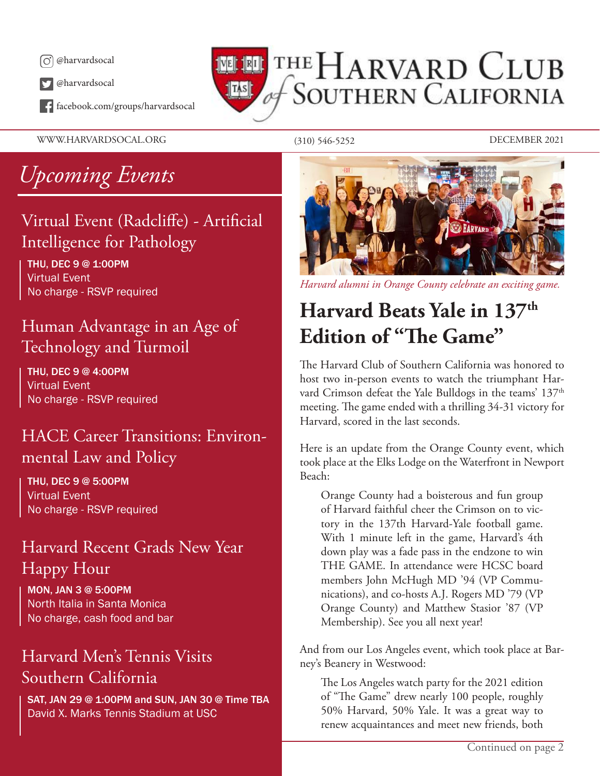

@harvardsocal

facebook.com/groups/harvardsocal

THE HARVARD CLUB **SOUTHERN CALIFORNIA**  $\|$ TAS $\|$ 

WWW.HARVARDSOCAL.ORG (310) 546-5252 DECEMBER 2021

# *Upcoming Events*

### Virtual Event (Radcliffe) - Artificial Intelligence for Pathology

THU, DEC 9 @ 1:00PM Virtual Event No charge - RSVP required

### Human Advantage in an Age of Technology and Turmoil

THU, DEC 9 @ 4:00PM Virtual Event No charge - RSVP required

### HACE Career Transitions: Environmental Law and Policy

THU, DEC 9 @ 5:00PM Virtual Event No charge - RSVP required

#### Harvard Recent Grads New Year Happy Hour

MON, JAN 3 @ 5:00PM North Italia in Santa Monica No charge, cash food and bar

### Harvard Men's Tennis Visits Southern California

SAT, JAN 29 @ 1:00PM and SUN, JAN 30 @ Time TBA David X. Marks Tennis Stadium at USC



*Harvard alumni in Orange County celebrate an exciting game.*

# **Harvard Beats Yale in 137th Edition of "The Game"**

The Harvard Club of Southern California was honored to host two in-person events to watch the triumphant Harvard Crimson defeat the Yale Bulldogs in the teams' 137<sup>th</sup> meeting. The game ended with a thrilling 34-31 victory for Harvard, scored in the last seconds.

Here is an update from the Orange County event, which took place at the Elks Lodge on the Waterfront in Newport Beach:

Orange County had a boisterous and fun group of Harvard faithful cheer the Crimson on to victory in the 137th Harvard-Yale football game. With 1 minute left in the game, Harvard's 4th down play was a fade pass in the endzone to win THE GAME. In attendance were HCSC board members John McHugh MD '94 (VP Communications), and co-hosts A.J. Rogers MD '79 (VP Orange County) and Matthew Stasior '87 (VP Membership). See you all next year!

And from our Los Angeles event, which took place at Barney's Beanery in Westwood:

The Los Angeles watch party for the 2021 edition of "The Game" drew nearly 100 people, roughly 50% Harvard, 50% Yale. It was a great way to renew acquaintances and meet new friends, both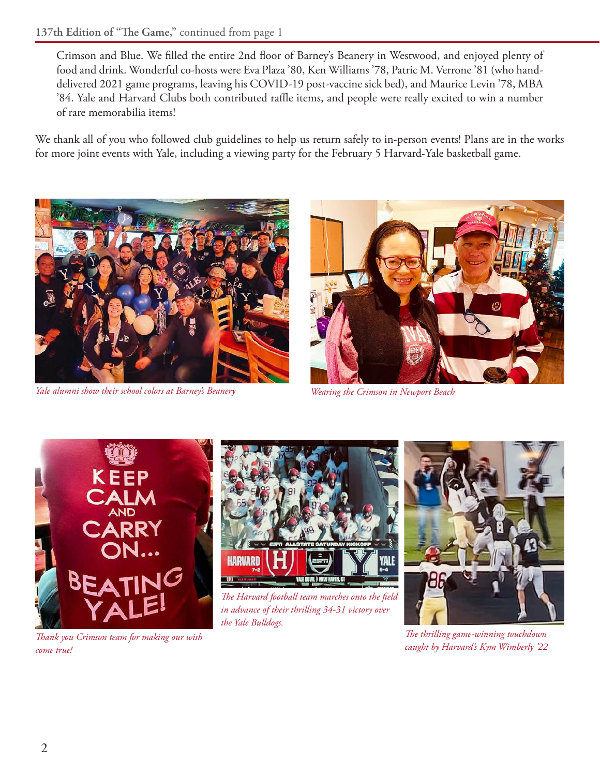Crimson and Blue. We filled the entire 2nd floor of Barney's Beanery in Westwood, and enjoyed plenty of food and drink. Wonderful co-hosts were Eva Plaza '80, Ken Williams '78, Patric M. Verrone '81 (who handdelivered 2021 game programs, leaving his COVID-19 post-vaccine sick bed), and Maurice Levin '78, MBA '84. Yale and Harvard Clubs both contributed raffle items, and people were really excited to win a number of rare memorabilia items!

We thank all of you who followed club guidelines to help us return safely to in-person events! Plans are in the works for more joint events with Yale, including a viewing party for the February 5 Harvard-Yale basketball game.



*Yale alumni show their school colors at Barney's Beanery Wearing the Crimson in Newport Beach*







*The Harvard football team marches onto the field in advance of their thrilling 34-31 victory over the Yale Bulldogs.*



*The thrilling game-winning touchdown caught by Harvard's Kym Wimberly '22*

*Thank you Crimson team for making our wish come true!*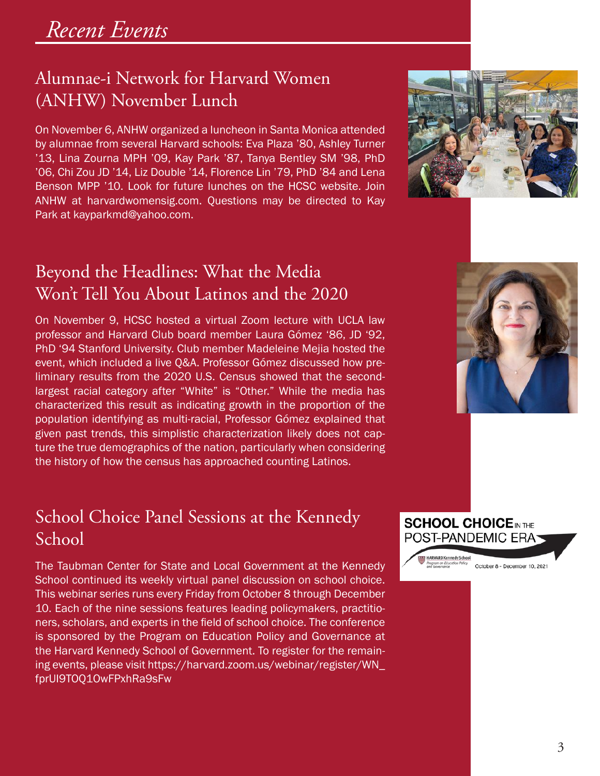### Alumnae-i Network for Harvard Women (ANHW) November Lunch

On November 6, ANHW organized a luncheon in Santa Monica attended by alumnae from several Harvard schools: Eva Plaza '80, Ashley Turner '13, Lina Zourna MPH '09, Kay Park '87, Tanya Bentley SM '98, PhD '06, Chi Zou JD '14, Liz Double '14, Florence Lin '79, PhD '84 and Lena Benson MPP '10. Look for future lunches on the HCSC website. Join ANHW at harvardwomensig.com. Questions may be directed to Kay Park at kayparkmd@yahoo.com.



### Beyond the Headlines: What the Media Won't Tell You About Latinos and the 2020

On November 9, HCSC hosted a virtual Zoom lecture with UCLA law professor and Harvard Club board member Laura Gómez '86, JD '92, PhD '94 Stanford University. Club member Madeleine Mejia hosted the event, which included a live Q&A. Professor Gómez discussed how preliminary results from the 2020 U.S. Census showed that the secondlargest racial category after "White" is "Other." While the media has characterized this result as indicating growth in the proportion of the population identifying as multi-racial, Professor Gómez explained that given past trends, this simplistic characterization likely does not capture the true demographics of the nation, particularly when considering the history of how the census has approached counting Latinos.

#### School Choice Panel Sessions at the Kennedy School

The Taubman Center for State and Local Government at the Kennedy School continued its weekly virtual panel discussion on school choice. This webinar series runs every Friday from October 8 through December 10. Each of the nine sessions features leading policymakers, practitioners, scholars, and experts in the field of school choice. The conference is sponsored by the Program on Education Policy and Governance at the Harvard Kennedy School of Government. To register for the remaining events, please visit https://harvard.zoom.us/webinar/register/WN\_ fprUI9TOQ1OwFPxhRa9sFw





October 8 - December 10, 2021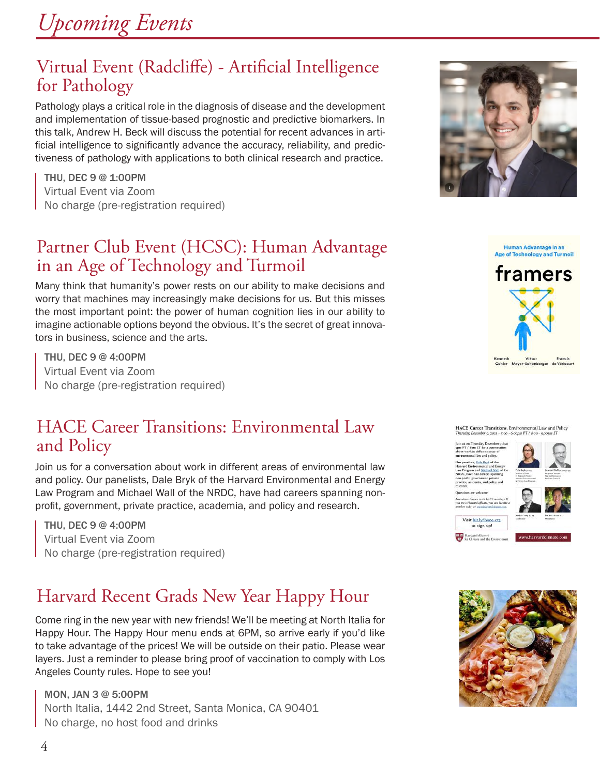*Upcoming Events*

#### Virtual Event (Radcliffe) - Artificial Intelligence for Pathology

Pathology plays a critical role in the diagnosis of disease and the development and implementation of tissue-based prognostic and predictive biomarkers. In this talk, Andrew H. Beck will discuss the potential for recent advances in artificial intelligence to significantly advance the accuracy, reliability, and predictiveness of pathology with applications to both clinical research and practice.

THU, DEC 9 @ 1:00PM Virtual Event via Zoom No charge (pre-registration required)

### Partner Club Event (HCSC): Human Advantage in an Age of Technology and Turmoil

Many think that humanity's power rests on our ability to make decisions and worry that machines may increasingly make decisions for us. But this misses the most important point: the power of human cognition lies in our ability to imagine actionable options beyond the obvious. It's the secret of great innovators in business, science and the arts.

THU, DEC 9 @ 4:00PM Virtual Event via Zoom No charge (pre-registration required)

#### HACE Career Transitions: Environmental Law and Policy

Join us for a conversation about work in different areas of environmental law and policy. Our panelists, Dale Bryk of the Harvard Environmental and Energy Law Program and Michael Wall of the NRDC, have had careers spanning nonprofit, government, private practice, academia, and policy and research.

THU, DEC 9 @ 4:00PM Virtual Event via Zoom No charge (pre-registration required)

## Harvard Recent Grads New Year Happy Hour

Come ring in the new year with new friends! We'll be meeting at North Italia for Happy Hour. The Happy Hour menu ends at 6PM, so arrive early if you'd like to take advantage of the prices! We will be outside on their patio. Please wear layers. Just a reminder to please bring proof of vaccination to comply with Los Angeles County rules. Hope to see you!

MON, JAN 3 @ 5:00PM North Italia, 1442 2nd Street, Santa Monica, CA 90401 No charge, no host food and drinks









Human Advantage in an **Age of Technology and Turm** 

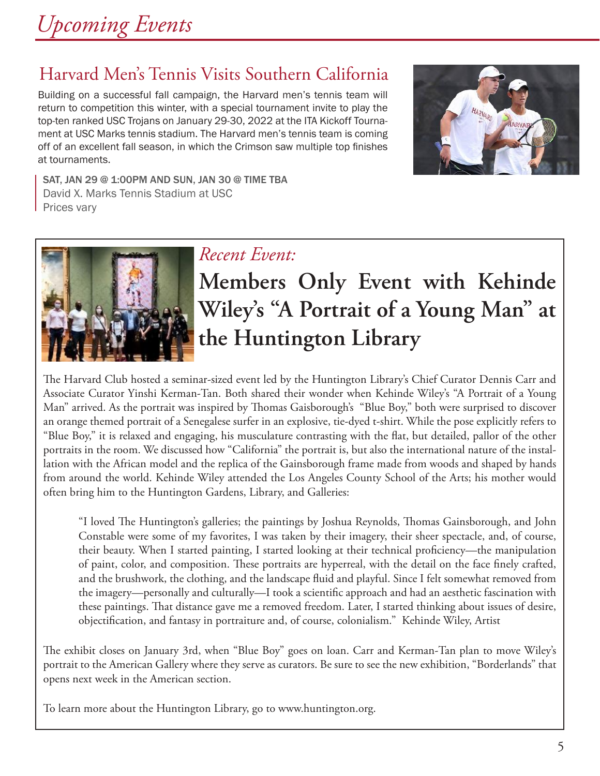## Harvard Men's Tennis Visits Southern California

Building on a successful fall campaign, the Harvard men's tennis team will return to competition this winter, with a special tournament invite to play the top-ten ranked USC Trojans on January 29-30, 2022 at the ITA Kickoff Tournament at USC Marks tennis stadium. The Harvard men's tennis team is coming off of an excellent fall season, in which the Crimson saw multiple top finishes at tournaments.



SAT, JAN 29 @ 1:00PM AND SUN, JAN 30 @ TIME TBA David X. Marks Tennis Stadium at USC Prices vary



#### *Recent Event:*

# \**Members Only Event with Kehinde Wiley's "A Portrait of a Young Man" at the Huntington Library**

The Harvard Club hosted a seminar-sized event led by the Huntington Library's Chief Curator Dennis Carr and Associate Curator Yinshi Kerman-Tan. Both shared their wonder when Kehinde Wiley's "A Portrait of a Young Man" arrived. As the portrait was inspired by Thomas Gaisborough's "Blue Boy," both were surprised to discover an orange themed portrait of a Senegalese surfer in an explosive, tie-dyed t-shirt. While the pose explicitly refers to "Blue Boy," it is relaxed and engaging, his musculature contrasting with the flat, but detailed, pallor of the other portraits in the room. We discussed how "California" the portrait is, but also the international nature of the installation with the African model and the replica of the Gainsborough frame made from woods and shaped by hands from around the world. Kehinde Wiley attended the Los Angeles County School of the Arts; his mother would often bring him to the Huntington Gardens, Library, and Galleries:

"I loved The Huntington's galleries; the paintings by Joshua Reynolds, Thomas Gainsborough, and John Constable were some of my favorites, I was taken by their imagery, their sheer spectacle, and, of course, their beauty. When I started painting, I started looking at their technical proficiency—the manipulation of paint, color, and composition. These portraits are hyperreal, with the detail on the face finely crafted, and the brushwork, the clothing, and the landscape fluid and playful. Since I felt somewhat removed from the imagery—personally and culturally—I took a scientific approach and had an aesthetic fascination with these paintings. That distance gave me a removed freedom. Later, I started thinking about issues of desire, objectification, and fantasy in portraiture and, of course, colonialism." Kehinde Wiley, Artist

The exhibit closes on January 3rd, when "Blue Boy" goes on loan. Carr and Kerman-Tan plan to move Wiley's portrait to the American Gallery where they serve as curators. Be sure to see the new exhibition, "Borderlands" that opens next week in the American section.

To learn more about the Huntington Library, go to www.huntington.org.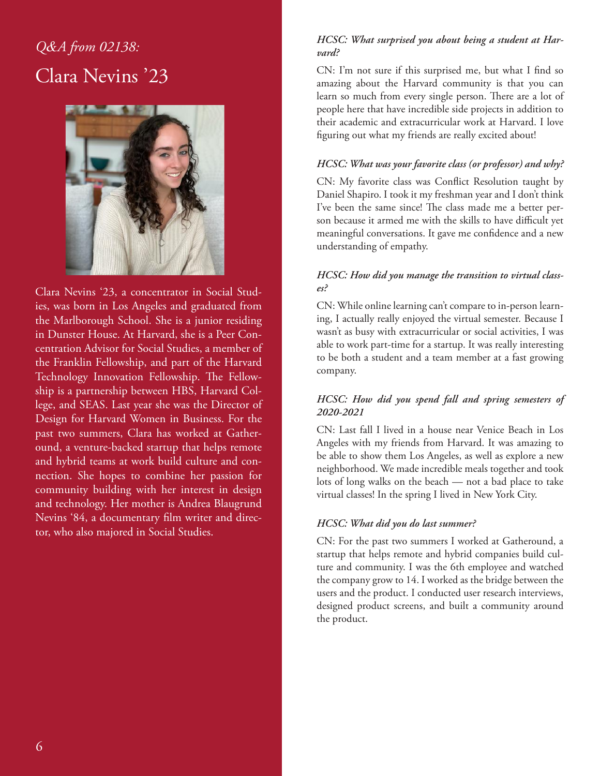## *Q&A from 02138:* Clara Nevins '23



Clara Nevins '23, a concentrator in Social Studies, was born in Los Angeles and graduated from the Marlborough School. She is a junior residing in Dunster House. At Harvard, she is a Peer Concentration Advisor for Social Studies, a member of the Franklin Fellowship, and part of the Harvard Technology Innovation Fellowship. The Fellowship is a partnership between HBS, Harvard College, and SEAS. Last year she was the Director of Design for Harvard Women in Business. For the past two summers, Clara has worked at Gatheround, a venture-backed startup that helps remote and hybrid teams at work build culture and connection. She hopes to combine her passion for community building with her interest in design and technology. Her mother is Andrea Blaugrund Nevins '84, a documentary film writer and director, who also majored in Social Studies.

#### *HCSC: What surprised you about being a student at Harvard?*

CN: I'm not sure if this surprised me, but what I find so amazing about the Harvard community is that you can learn so much from every single person. There are a lot of people here that have incredible side projects in addition to their academic and extracurricular work at Harvard. I love figuring out what my friends are really excited about!

#### *HCSC: What was your favorite class (or professor) and why?*

CN: My favorite class was Conflict Resolution taught by Daniel Shapiro. I took it my freshman year and I don't think I've been the same since! The class made me a better person because it armed me with the skills to have difficult yet meaningful conversations. It gave me confidence and a new understanding of empathy.

#### *HCSC: How did you manage the transition to virtual classes?*

CN: While online learning can't compare to in-person learning, I actually really enjoyed the virtual semester. Because I wasn't as busy with extracurricular or social activities, I was able to work part-time for a startup. It was really interesting to be both a student and a team member at a fast growing company.

#### *HCSC: How did you spend fall and spring semesters of 2020-2021*

CN: Last fall I lived in a house near Venice Beach in Los Angeles with my friends from Harvard. It was amazing to be able to show them Los Angeles, as well as explore a new neighborhood. We made incredible meals together and took lots of long walks on the beach — not a bad place to take virtual classes! In the spring I lived in New York City.

#### *HCSC: What did you do last summer?*

CN: For the past two summers I worked at Gatheround, a startup that helps remote and hybrid companies build culture and community. I was the 6th employee and watched the company grow to 14. I worked as the bridge between the users and the product. I conducted user research interviews, designed product screens, and built a community around the product.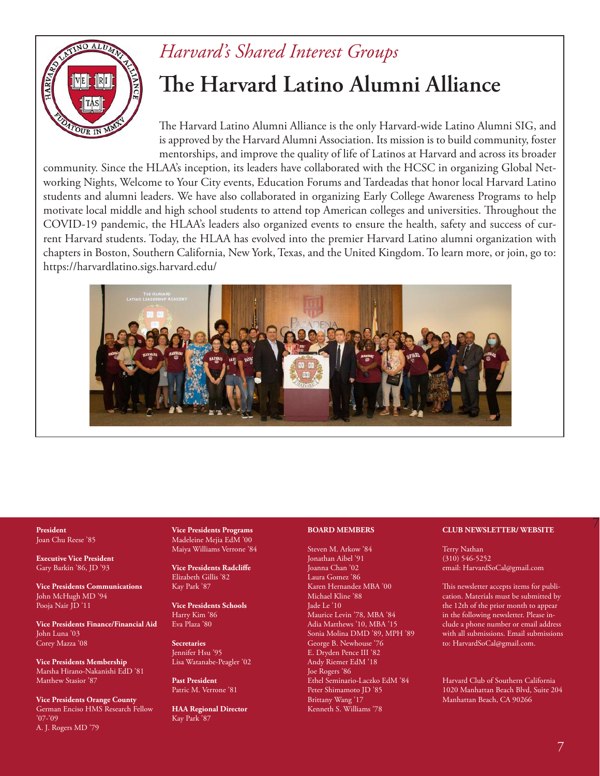

#### *Harvard's Shared Interest Groups*

# **The Harvard Latino Alumni Alliance**

The Harvard Latino Alumni Alliance is the only Harvard-wide Latino Alumni SIG, and is approved by the Harvard Alumni Association. Its mission is to build community, foster mentorships, and improve the quality of life of Latinos at Harvard and across its broader

community. Since the HLAA's inception, its leaders have collaborated with the HCSC in organizing Global Networking Nights, Welcome to Your City events, Education Forums and Tardeadas that honor local Harvard Latino students and alumni leaders. We have also collaborated in organizing Early College Awareness Programs to help motivate local middle and high school students to attend top American colleges and universities. Throughout the COVID-19 pandemic, the HLAA's leaders also organized events to ensure the health, safety and success of current Harvard students. Today, the HLAA has evolved into the premier Harvard Latino alumni organization with chapters in Boston, Southern California, New York, Texas, and the United Kingdom. To learn more, or join, go to: https://harvardlatino.sigs.harvard.edu/



#### Joan Chu Reese '85

**Executive Vice President** Gary Barkin '86, JD '93

**Vice Presidents Communications** John McHugh MD '94 Pooja Nair JD '11

**Vice Presidents Finance/Financial Aid** John Luna '03 Corey Mazza '08

**Vice Presidents Membership** Marsha Hirano-Nakanishi EdD '81 Matthew Stasior '87

**Vice Presidents Orange County** German Enciso HMS Research Fellow '07-'09 A. J. Rogers MD '79

**Vice Presidents Programs** Madeleine Mejia EdM '00 Maiya Williams Verrone '84

**Vice Presidents Radcliffe** Elizabeth Gillis '82 Kay Park '87

**Vice Presidents Schools** Harry Kim '86 Eva Plaza '80

**Secretaries** Jennifer Hsu '95 Lisa Watanabe-Peagler '02

**Past President** Patric M. Verrone '81

**HAA Regional Director** Kay Park '87

#### **BOARD MEMBERS**

Steven M. Arkow '84

Jonathan Aibel '91 Joanna Chan '02 Laura Gomez '86 Karen Hernandez MBA '00 Michael Kline '88 Jade Le '10 Maurice Levin '78, MBA '84 Adia Matthews '10, MBA '15 Sonia Molina DMD '89, MPH '89 George B. Newhouse '76 E. Dryden Pence III '82 Andy Riemer EdM '18 Joe Rogers '86 Ethel Seminario-Laczko EdM '84 Peter Shimamoto JD '85 Brittany Wang '17 Kenneth S. Williams '78

#### 7 **President CLUB NEWSLETTER/ WEBSITE**

Terry Nathan (310) 546-5252 email: HarvardSoCal@gmail.com

This newsletter accepts items for publication. Materials must be submitted by the 12th of the prior month to appear in the following newsletter. Please include a phone number or email address with all submissions. Email submissions to: HarvardSoCal@gmail.com.

Harvard Club of Southern California 1020 Manhattan Beach Blvd, Suite 204 Manhattan Beach, CA 90266